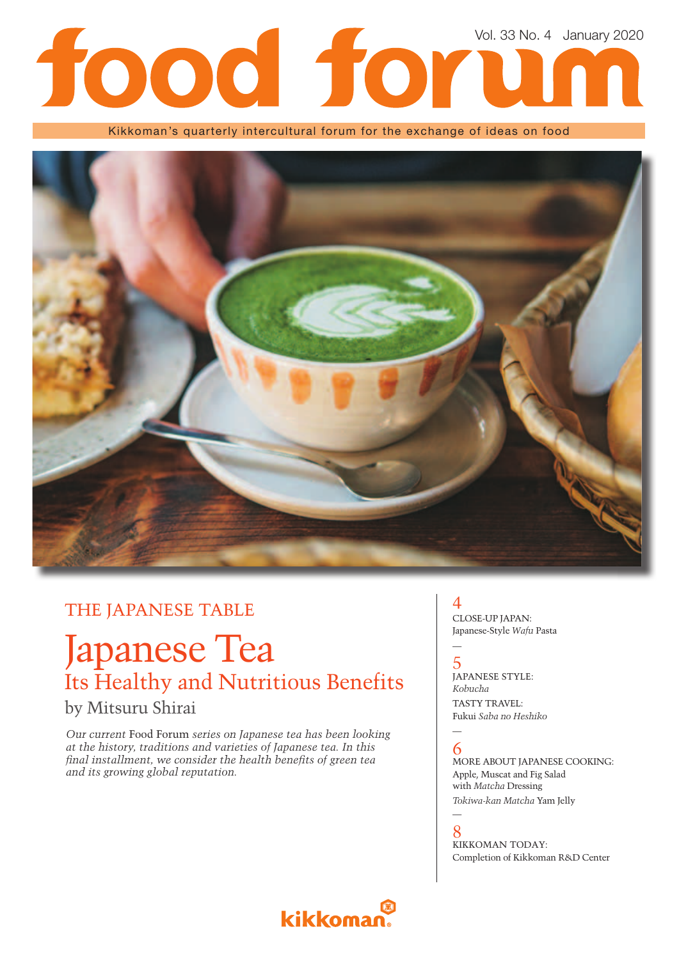# Vol. 33 No. 4 January 2020

Kikkoman's quarterly intercultural forum for the exchange of ideas on food



## THE JAPANESE TABLE

# Japanese Tea Its Healthy and Nutritious Benefits

## by Mitsuru Shirai

*Our current* Food Forum *series on Japanese tea has been looking at the history, traditions and varieties of Japanese tea. In this*  final installment, we consider the health benefits of green tea *and its growing global reputation.*

#### 4 CLOSE-UP JAPAN: Japanese-Style *Wafu* Pasta

#### 5 JAPANESE STYLE: *Kobucha* TASTY TRAVEL: Fukui *Saba no Heshiko*

#### — 6

—

—

MORE ABOUT JAPANESE COOKING: Apple, Muscat and Fig Salad with *Matcha* Dressing *Tokiwa-kan Matcha* Yam Jelly

8 KIKKOMAN TODAY: Completion of Kikkoman R&D Center

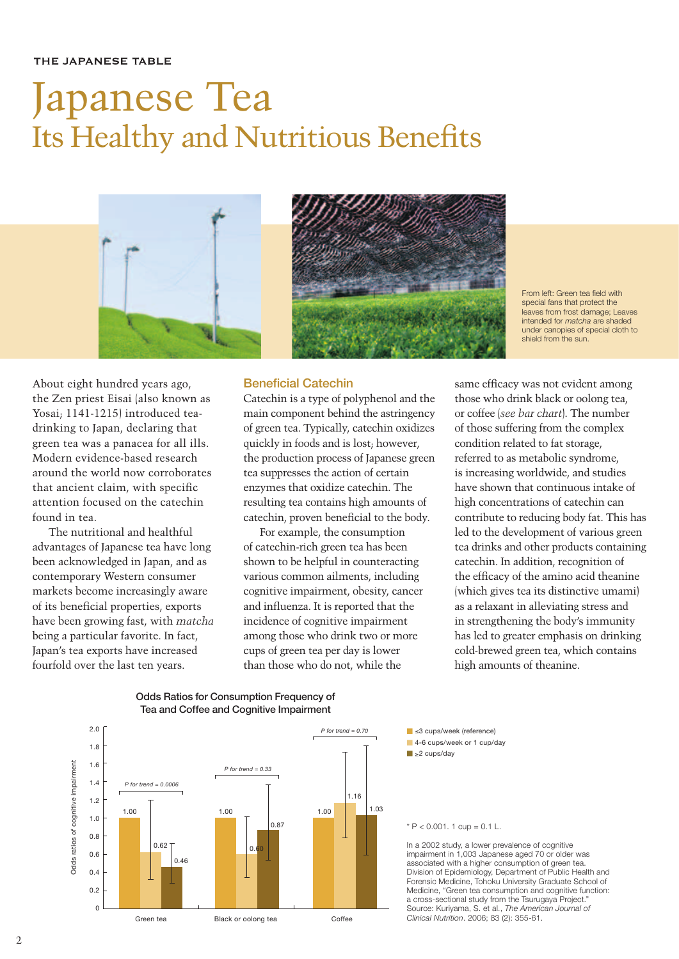#### THE JAPANESE TABLE

# Japanese Tea Its Healthy and Nutritious Benefits





From left: Green tea field with special fans that protect the leaves from frost damage; Leaves intended for *matcha* are shaded under canopies of special cloth to shield from the sun.

About eight hundred years ago, the Zen priest Eisai (also known as Yosai; 1141-1215) introduced teadrinking to Japan, declaring that green tea was a panacea for all ills. Modern evidence-based research around the world now corroborates that ancient claim, with specific attention focused on the catechin found in tea.

The nutritional and healthful advantages of Japanese tea have long been acknowledged in Japan, and as contemporary Western consumer markets become increasingly aware of its beneficial properties, exports have been growing fast, with *matcha* being a particular favorite. In fact, Japan's tea exports have increased fourfold over the last ten years.

#### **Beneficial Catechin**

Catechin is a type of polyphenol and the main component behind the astringency of green tea. Typically, catechin oxidizes quickly in foods and is lost; however, the production process of Japanese green tea suppresses the action of certain enzymes that oxidize catechin. The resulting tea contains high amounts of catechin, proven beneficial to the body.

For example, the consumption of catechin-rich green tea has been shown to be helpful in counteracting various common ailments, including cognitive impairment, obesity, cancer and influenza. It is reported that the incidence of cognitive impairment among those who drink two or more cups of green tea per day is lower than those who do not, while the

same efficacy was not evident among those who drink black or oolong tea, or coffee (*see bar chart*). The number of those suffering from the complex condition related to fat storage, referred to as metabolic syndrome, is increasing worldwide, and studies have shown that continuous intake of high concentrations of catechin can contribute to reducing body fat. This has led to the development of various green tea drinks and other products containing catechin. In addition, recognition of the efficacy of the amino acid theanine (which gives tea its distinctive umami) as a relaxant in alleviating stress and in strengthening the body's immunity has led to greater emphasis on drinking cold-brewed green tea, which contains high amounts of theanine.







#### $* P < 0.001$ . 1 cup = 0.1 L.

In a 2002 study, a lower prevalence of cognitive impairment in 1,003 Japanese aged 70 or older was associated with a higher consumption of green tea. Division of Epidemiology, Department of Public Health and Forensic Medicine, Tohoku University Graduate School of Medicine, "Green tea consumption and cognitive function: a cross-sectional study from the Tsurugaya Project." Source: Kuriyama, S. et al., *The American Journal of Clinical Nutrition*. 2006; 83 (2): 355-61.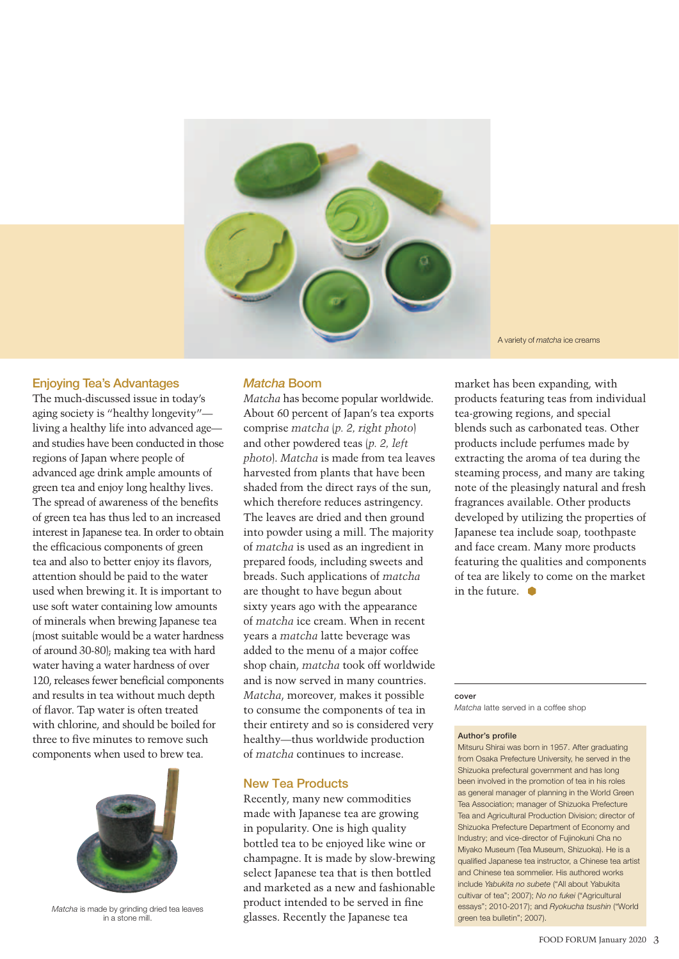

#### **Enjoying Tea's Advantages**

The much-discussed issue in today's aging society is "healthy longevity" living a healthy life into advanced age and studies have been conducted in those regions of Japan where people of advanced age drink ample amounts of green tea and enjoy long healthy lives. The spread of awareness of the benefits of green tea has thus led to an increased interest in Japanese tea. In order to obtain the efficacious components of green tea and also to better enjoy its flavors, attention should be paid to the water used when brewing it. It is important to use soft water containing low amounts of minerals when brewing Japanese tea (most suitable would be a water hardness of around 30-80); making tea with hard water having a water hardness of over 120, releases fewer beneficial components and results in tea without much depth of flavor. Tap water is often treated with chlorine, and should be boiled for three to five minutes to remove such components when used to brew tea.



*Matcha* is made by grinding dried tea leaves in a stone mill.

#### *Matcha* **Boom**

*Matcha* has become popular worldwide. About 60 percent of Japan's tea exports comprise *matcha* (*p. 2, right photo*) and other powdered teas (*p. 2, left photo*). *Matcha* is made from tea leaves harvested from plants that have been shaded from the direct rays of the sun, which therefore reduces astringency. The leaves are dried and then ground into powder using a mill. The majority of *matcha* is used as an ingredient in prepared foods, including sweets and breads. Such applications of *matcha* are thought to have begun about sixty years ago with the appearance of *matcha* ice cream. When in recent years a *matcha* latte beverage was added to the menu of a major coffee shop chain, *matcha* took off worldwide and is now served in many countries. *Matcha*, moreover, makes it possible to consume the components of tea in their entirety and so is considered very healthy—thus worldwide production of *matcha* continues to increase.

#### **New Tea Products**

Recently, many new commodities made with Japanese tea are growing in popularity. One is high quality bottled tea to be enjoyed like wine or champagne. It is made by slow-brewing select Japanese tea that is then bottled and marketed as a new and fashionable product intended to be served in fine glasses. Recently the Japanese tea

A variety of *matcha* ice creams

market has been expanding, with products featuring teas from individual tea-growing regions, and special blends such as carbonated teas. Other products include perfumes made by extracting the aroma of tea during the steaming process, and many are taking note of the pleasingly natural and fresh fragrances available. Other products developed by utilizing the properties of Japanese tea include soap, toothpaste and face cream. Many more products featuring the qualities and components of tea are likely to come on the market in the future.  $\bullet$ 

#### **cover**

*Matcha* latte served in a coffee shop

#### **Author's profile**

Mitsuru Shirai was born in 1957. After graduating from Osaka Prefecture University, he served in the Shizuoka prefectural government and has long been involved in the promotion of tea in his roles as general manager of planning in the World Green Tea Association; manager of Shizuoka Prefecture Tea and Agricultural Production Division; director of Shizuoka Prefecture Department of Economy and Industry; and vice-director of Fujinokuni Cha no Miyako Museum (Tea Museum, Shizuoka). He is a qualified Japanese tea instructor, a Chinese tea artist and Chinese tea sommelier. His authored works include *Yabukita no subete* ("All about Yabukita cultivar of tea"; 2007); *No no fukei* ("Agricultural essays"; 2010-2017); and *Ryokucha tsushin* ("World green tea bulletin"; 2007).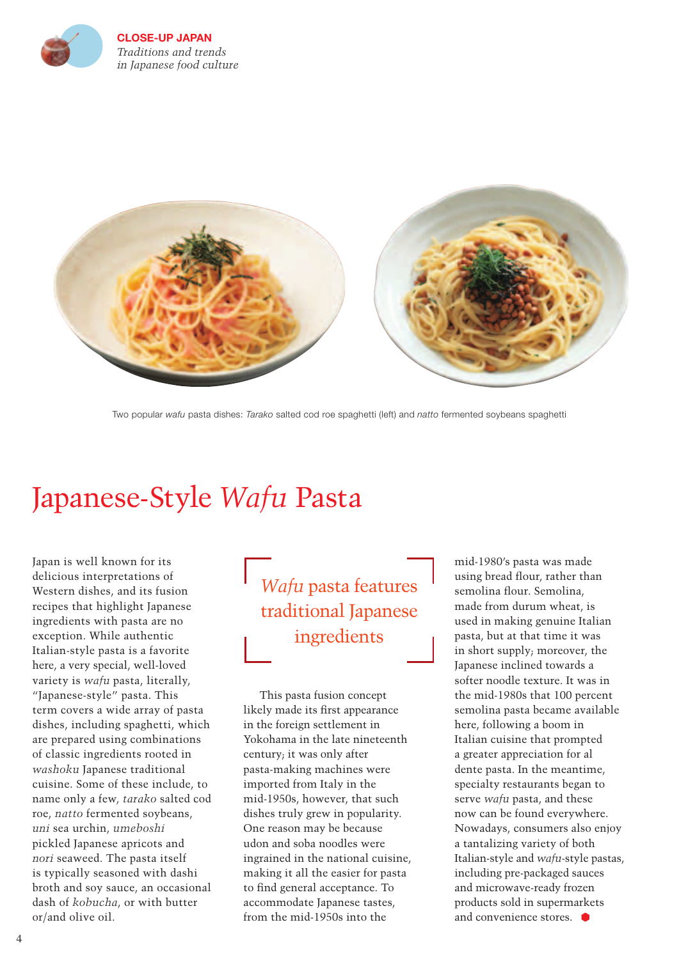

**CLOSE-UP JAPAN** *Traditions and trends in Japanese food culture* 



Two popular *wafu* pasta dishes: *Tarako* salted cod roe spaghetti (left) and *natto* fermented soybeans spaghetti

## Japanese-Style *Wafu* Pasta

Japan is well known for its delicious interpretations of Western dishes, and its fusion recipes that highlight Japanese ingredients with pasta are no exception. While authentic Italian-style pasta is a favorite here, a very special, well-loved variety is *wafu* pasta, literally, "Japanese-style" pasta. This term covers a wide array of pasta dishes, including spaghetti, which are prepared using combinations of classic ingredients rooted in *washoku* Japanese traditional cuisine. Some of these include, to name only a few, *tarako* salted cod roe, *natto* fermented soybeans, *uni* sea urchin, *umeboshi* pickled Japanese apricots and *nori* seaweed. The pasta itself is typically seasoned with dashi broth and soy sauce, an occasional dash of *kobucha*, or with butter or/and olive oil.

*Wafu* pasta features traditional Japanese ingredients

This pasta fusion concept likely made its first appearance in the foreign settlement in Yokohama in the late nineteenth century; it was only after pasta-making machines were imported from Italy in the mid-1950s, however, that such dishes truly grew in popularity. One reason may be because udon and soba noodles were ingrained in the national cuisine, making it all the easier for pasta to find general acceptance. To accommodate Japanese tastes, from the mid-1950s into the

mid-1980's pasta was made using bread flour, rather than semolina flour. Semolina, made from durum wheat, is used in making genuine Italian pasta, but at that time it was in short supply; moreover, the Japanese inclined towards a softer noodle texture. It was in the mid-1980s that 100 percent semolina pasta became available here, following a boom in Italian cuisine that prompted a greater appreciation for al dente pasta. In the meantime, specialty restaurants began to serve *wafu* pasta, and these now can be found everywhere. Nowadays, consumers also enjoy a tantalizing variety of both Italian-style and *wafu*-style pastas, including pre-packaged sauces and microwave-ready frozen products sold in supermarkets and convenience stores.  $\bullet$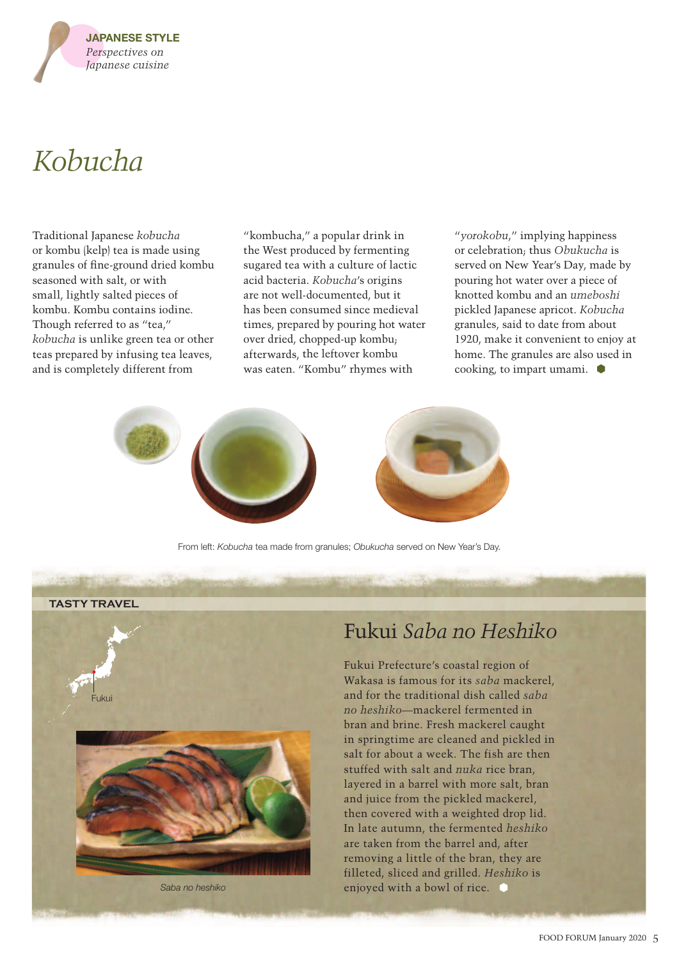

# *Kobucha*

Traditional Japanese *kobucha* or kombu (kelp) tea is made using granules of fine-ground dried kombu seasoned with salt, or with small, lightly salted pieces of kombu. Kombu contains iodine. Though referred to as "tea," *kobucha* is unlike green tea or other teas prepared by infusing tea leaves, and is completely different from

"kombucha," a popular drink in the West produced by fermenting sugared tea with a culture of lactic acid bacteria. *Kobucha*'s origins are not well-documented, but it has been consumed since medieval times, prepared by pouring hot water over dried, chopped-up kombu; afterwards, the leftover kombu was eaten. "Kombu" rhymes with

"*yorokobu*," implying happiness or celebration; thus *Obukucha* is served on New Year's Day, made by pouring hot water over a piece of knotted kombu and an *umeboshi* pickled Japanese apricot. *Kobucha*  granules, said to date from about 1920, make it convenient to enjoy at home. The granules are also used in cooking, to impart umami.



From left: *Kobucha* tea made from granules; *Obukucha* served on New Year's Day.

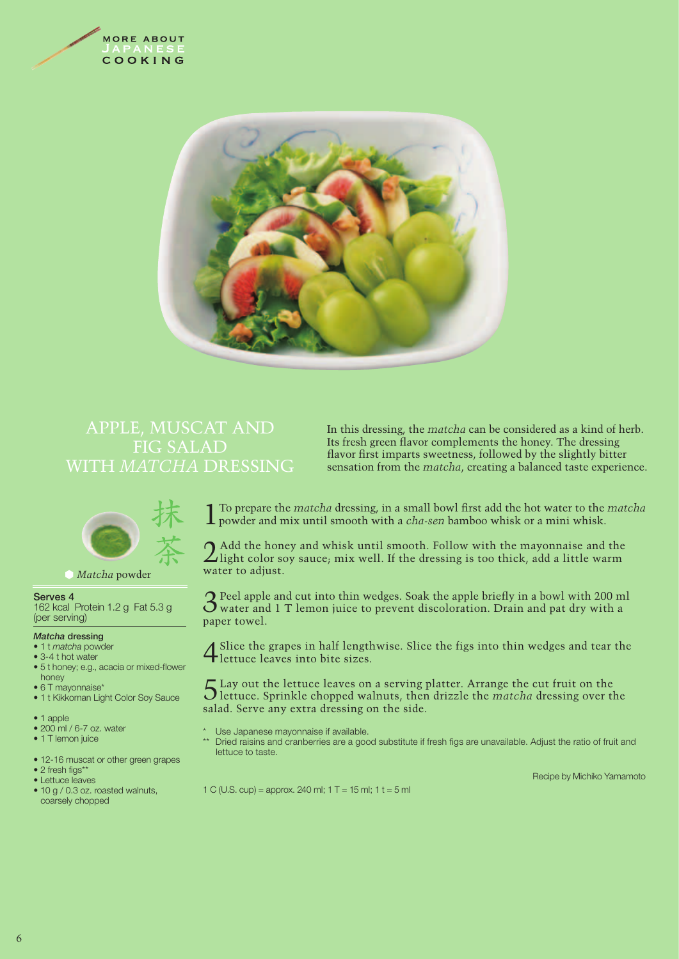



### APPLE, MUSCAT AND FIG SALAD WITH *MATCHA* DRESSING

In this dressing, the *matcha* can be considered as a kind of herb. Its fresh green flavor complements the honey. The dressing flavor first imparts sweetness, followed by the slightly bitter sensation from the *matcha*, creating a balanced taste experience.



#### *Matcha* powder

#### **Serves 4**

162 kcal Protein 1.2 g Fat 5.3 g (per serving)

#### *Matcha* **dressing**

- 1 t *matcha* powder
- 3-4 t hot water
- 5 t honey; e.g., acacia or mixed-flower honey
- 6 T mayonnaise\*
- 1 t Kikkoman Light Color Soy Sauce
- 1 apple
- 200 ml / 6-7 oz. water
- 1 T lemon juice
- 12-16 muscat or other green grapes
- 2 fresh figs\*\*
- Lettuce leaves
- 10 g / 0.3 oz. roasted walnuts, coarsely chopped

1 To prepare the *matcha* dressing, in a small bowl first add the hot water to the *matcha* powder and mix until smooth with a *cha-sen* bamboo whisk or a mini whisk.

2 Add the honey and whisk until smooth. Follow with the mayonnaise and the light color soy sauce; mix well. If the dressing is too thick, add a little warm water to adjust.

 $3<sup>Peel</sup>$  apple and cut into thin wedges. Soak the apple briefly in a bowl with 200 ml water and 1 T lemon juice to prevent discoloration. Drain and pat dry with a paper towel.

4Slice the grapes in half lengthwise. Slice the figs into thin wedges and tear the lettuce leaves into bite sizes.

5Lay out the lettuce leaves on a serving platter. Arrange the cut fruit on the lettuce. Sprinkle chopped walnuts, then drizzle the *matcha* dressing over the salad. Serve any extra dressing on the side.

- \* Use Japanese mayonnaise if available.<br>\*\* Pried rejoing and crapberries are a good
- Dried raisins and cranberries are a good substitute if fresh figs are unavailable. Adjust the ratio of fruit and lettuce to taste.

Recipe by Michiko Yamamoto

1 C (U.S. cup) = approx. 240 ml;  $1 T = 15$  ml;  $1 t = 5$  ml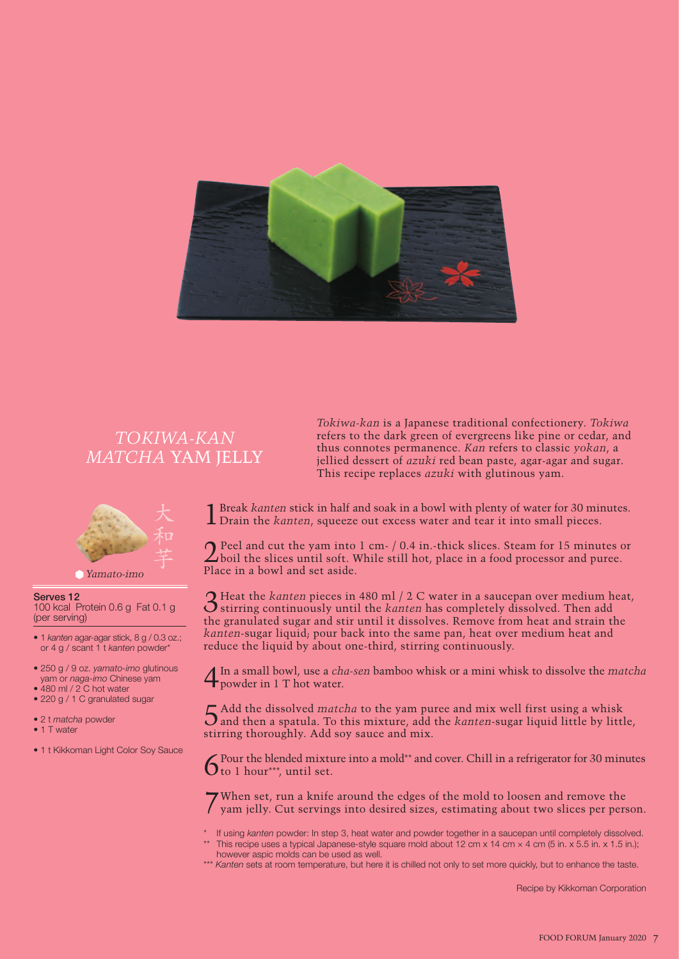

## *TOKIWA-KAN MATCHA* YAM JELLY



#### **Serves 12**

100 kcal Protein 0.6 g Fat 0.1 g (per serving)

- 1 *kanten* agar-agar stick, 8 g / 0.3 oz.; or 4 g / scant 1 t *kanten* powder\*
- 250 g / 9 oz. *yamato-imo* glutinous yam or *naga-imo* Chinese yam
- 480 ml / 2 C hot water
- 220 g / 1 C granulated sugar
- 2 t *matcha* powder
- 1 T water
- 1 t Kikkoman Light Color Soy Sauce

*Tokiwa-kan* is a Japanese traditional confectionery. *Tokiwa* refers to the dark green of evergreens like pine or cedar, and thus connotes permanence. *Kan* refers to classic *yokan*, a jellied dessert of *azuki* red bean paste, agar-agar and sugar. This recipe replaces *azuki* with glutinous yam.

1Break *kanten* stick in half and soak in a bowl with plenty of water for 30 minutes. Drain the *kanten*, squeeze out excess water and tear it into small pieces.

2Peel and cut the yam into 1 cm- / 0.4 in.-thick slices. Steam for 15 minutes or boil the slices until soft. While still hot, place in a food processor and puree. Place in a bowl and set aside.

3Heat the *kanten* pieces in 480 ml / 2 C water in a saucepan over medium heat, stirring continuously until the *kanten* has completely dissolved. Then add the granulated sugar and stir until it dissolves. Remove from heat and strain the *kanten*-sugar liquid; pour back into the same pan, heat over medium heat and reduce the liquid by about one-third, stirring continuously.

4In a small bowl, use a *cha-sen* bamboo whisk or a mini whisk to dissolve the *matcha* 4 m a small borry and water.

5Add the dissolved *matcha* to the yam puree and mix well first using a whisk and then a spatula. To this mixture, add the *kanten*-sugar liquid little by little, stirring thoroughly. Add soy sauce and mix.

Pour the blended mixture into a mold\*\* and cover. Chill in a refrigerator for 30 minutes  $6$  to 1 hour\*\*\*, until set.

7When set, run a knife around the edges of the mold to loosen and remove the yam jelly. Cut servings into desired sizes, estimating about two slices per person.

- If using *kanten* powder: In step 3, heat water and powder together in a saucepan until completely dissolved. \*\* This recipe uses a typical Japanese-style square mold about 12 cm x 14 cm  $\times$  4 cm (5 in. x 5.5 in. x 1.5 in.); however aspic molds can be used as well.
- \*\*\* *Kanten* sets at room temperature, but here it is chilled not only to set more quickly, but to enhance the taste.

Recipe by Kikkoman Corporation